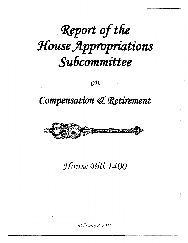# Report of the House Appropriations Subcommittee

 $\overline{on}$ 

### Compensation & Retirement



## House Bill 1400

February 8, 2015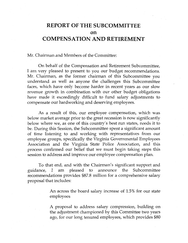### **REPORT OF THE SUBCOMMITTEE on COMPENSATION AND RETIREMENT**

Mr. Chairman and Members of the Committee:

On behalf of the Compensation and Retirement Subcommittee, I am very pleased to present to you our budget recommendations. Mr. Chairman, as the former chairman of this Subcommittee you understand as well as anyone the challenges this Subcommittee faces, which have only become harder in recent years as our slow revenue growth in combination with our other budget obligations have made it exceedingly difficult to fund salary adjustments to compensate our hardworking and deserving employees.

As a result of this, our employee compensation, which was below market average prior to the great recession is now significantly below where we, as one of this country's best run states, needs it to be. During this Session, the Subcommittee spent a significant amount of time listening to and working with representatives from our employee groups, specifically the Virginia Governmental Employees Association and the Virginia State Police Association, and this process confirmed our belief that we must begin taking steps this session to address and improve our employee compensation plan.

To that end, and with the Chairman's significant support and guidance, I am pleased to announce the Subcommittee recommendations provides \$87.8 million for a comprehensive salary proposal that includes:

> An across the board salary increase of 1.5% for our state employees

> A proposal to address salary compression, building on the adjustment championed by this Committee two years ago, for our long tenured employees, which provides \$80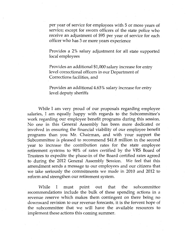per year of service for employees with 5 or more years of service; except for sworn officers of the state police who receive an adjustment of \$95 per year of service for each officer who has 3 or more years experience

Provides a 2% salary adjustment for all state supported local employees

Provides an additional \$1,000 salary increase for entry level correctional officers in our Department of Corrections facilities, and

Provides an additional 4.63 % salary increase for entry level deputy sheriffs

While 1 am very proud of our proposals regarding employee salaries, I am equally happy with regards to the Subcommittee's work regarding our employee benefit programs during this session. No one in this General Assembly has been more dedicated or involved in ensuring the financial viability of our employee benefit programs than you Mr. Chairman, and with your support the Subcommittee is pleased to recommend \$41.8 million in the second year to increase the contribution rates for the state employee retirement systems to 90% of rates certified by the VRS Board of Trustees to expedite the phase-in of the Board certified rates agreed to during the 2012 General Assembly Session. We feel that this amendment sends a message to our employees and our citizens that we take seriously the commitments we made in 2010 and 2012 to reform and strengthen our retirement system.

While I must point out that the subcommittee recommendations include the bulk of these spending actions in a revenue reserve which makes them contingent on there being no downward revision to our revenue forecasts, it is the fervent hope of the subcommittee that we will have the available resources to implement these actions this coming summer.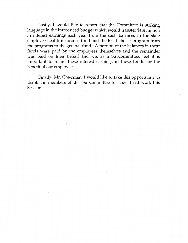Lastly, I would like to report that the Committee is striking language in the introduced budget which would transfer \$1.4 million in interest earnings each year from the cash balances in the state employee health insurance fund and the local choice program from the programs to the general fund. A portion of the balances in these funds were paid by the employees themselves and the remainder was paid on their behalf and we, as a Subcommittee, feel it is important to retain these interest earnings in these funds for the benefit of our employees.

Finally, Mr. Chairman, I would like to take this opportunity to thank the members of this Subcommittee for their hard work this Session.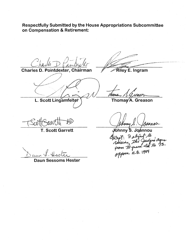Respectfully Submitted by the House Appropriations Subcommittee on Compensation & Retirement:

Charles D. Pointdexter, Chairman

L. Scott Lingamfelter

**Riley E. Ingram** 

Mans

Thomas A. Greason

**T. Scott Garrett** 

Daun Sessoms Hester

Johnny S. Joannou Except: I slight to<br>Raising the Judges ages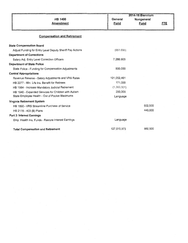|                                                           | 2014-16 Biennium |             |            |
|-----------------------------------------------------------|------------------|-------------|------------|
| <b>HB 1400</b>                                            | General          | Nongeneral  |            |
| <b>Amendment</b>                                          | <b>Fund</b>      | <b>Fund</b> | <b>FTE</b> |
|                                                           |                  |             |            |
| <b>Compensation and Retirement</b>                        |                  |             |            |
| <b>State Compensation Board</b>                           |                  |             |            |
| Adjust Funding for Entry Level Deputy Sheriff Pay Actions | (851,690)        |             |            |
| <b>Department of Corrections</b>                          |                  |             |            |
| Salary Adj. Entry Level Correction Officers               | 7,286,903        |             |            |
| <b>Department of State Police</b>                         |                  |             |            |
| State Police - Funding for Compensation Adjustments       | 500,000          |             |            |
| <b>Central Appropriations</b>                             |                  |             |            |
| Revenue Reserve - Salary Adjustments and VRS Rates        | 121,052,461      |             |            |
| HB 2277 - Min. Life Ins. Benefit for Retirees             | 171,000          |             |            |
| HB 1984 - Increase Mandatory Judicial Retirement          | (1, 393, 301)    |             |            |
| HB 1940 - Expanded Services for Children with Autism      | 250,000          |             |            |
| State Employee Health - Out of Pocket Maximums            | Language         |             |            |
| Virginia Retirement System                                |                  |             |            |
| HB 1890 - VRS Streamline Purchase of Service              |                  | 552,500     |            |
| HB 2178 - 403 (B) Plans                                   |                  | 440,000     |            |
| Part 3: Interest Earnings                                 |                  |             |            |
| Emp. Health Ins. Funds - Restore Interest Earnings        | Language         |             |            |
|                                                           |                  |             |            |
| <b>Total Compensation and Retirement</b>                  | 127,015,373      | 992,500     |            |
|                                                           |                  |             |            |
|                                                           |                  |             |            |
|                                                           |                  |             |            |
|                                                           |                  |             |            |
|                                                           |                  |             |            |
|                                                           |                  |             |            |
|                                                           |                  |             |            |
|                                                           |                  |             |            |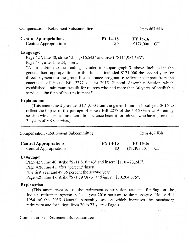Compensation - Retirement Subcommittee

Item 467 #lh

| <b>Central Appropriations</b> | FY 14-15 | FY 15-16      |  |
|-------------------------------|----------|---------------|--|
| Central Appropriations        | \$0      | $$171,000$ GF |  |

#### **Language:**

Page 427, line 40, strike "\$111,816,543" and insert "\$111,987,543".

Page 431, after line 24, insert:

"7. In addition to the funding included in subparagraph 3. above, included in the general fund appropriation for this item is included \$171,000 the second year for direct payments to the group life insurance program to reflect the impact from the enactment of House Bill 2277 of the 2015 General Assembly Session which established a minimum benefit for retirees who had more than 30 years of creditable service at the time of their retirement."

#### **Explanation:**

(This amendment provides \$171,000 from the general fund in fiscal year 2016 to reflect the impact of the passage of House Bill 2277 of the 2015 General Assembly session which sets a minimum life insurance benefit for retirees who have more than 30 years ofVRS service.)

| Compensation - Retirement Subcommittee                  | Item $467 \text{ #3h}$ |                                 |  |
|---------------------------------------------------------|------------------------|---------------------------------|--|
| <b>Central Appropriations</b><br>Central Appropriations | FY 14-15<br>\$0        | $FY$ 15-16<br>$($1,393,301)$ GF |  |
| $9$ n $q$ ii $9q$ a'                                    |                        |                                 |  |

#### **Language:**

Page 427, line 40, strike "\$111,816,543" and insert "\$110,423,242".

Page 429, line 41, after "percent" insert:

"the first year and 49.35 percent the second year".

Page 429, line 47, strike "\$71,597,876" and insert "\$70,204,575".

#### **Explanation:**

(This amendment adjust the retirement contribution rate and funding for the Judicial retirement system in fiscal year 2016 pursuant to the passage of House Bill 1984 of the 2015 General Assembly session which increases the mandatory retirement age for judges from 70 to 73 years of age.)

Compensation - Retirement Subcommittee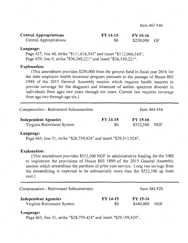| <b>Central Appropriations</b> | $FY$ 14-15 | FY 15-16      |  |
|-------------------------------|------------|---------------|--|
| Central Appropriations        | \$0        | $$250,000$ GF |  |

#### **Language:**

Page 427, line 40, strike "\$111,816,543" and insert "\$112,066,543". Page 429, line 9, strike "\$36,289,221" and insert "\$36,539,221".

#### **Explanation:**

(This amendment provides \$250,000 from the general fund in fiscal year2016 for the state employee health insurance program pursuant to the passage of House Bill 1940 of the 2015 General Assembly session which requires health insurers to provide coverage for the diagnosis and treatment of autism spectrum disorder in individuals from ages two years through ten years. Current law requires coverage from age two through age six.)

| <b>Compensation - Retirement Subcommittee</b> |          | Item $484 \#1h$ |     |  |
|-----------------------------------------------|----------|-----------------|-----|--|
| <b>Independent Agencies</b>                   | FY 14-15 | FY 15-16        |     |  |
| Virginia Retirement System                    | \$0      | \$552,500       | NGF |  |

#### **Language:**

Page 463, line 31, strike "\$28,759,424" and insert "\$29,311,924".

#### **Explanation:**

(This amendment provides \$552,500 NGF in administrative funding for the VRS to implement the provisions of House Bill 1890 of the 2015 General Assembly session which streamlines the purchase of prior year service. Long run savings from the streamlining is expected to be substantially more than the \$552,500 up front cost.)

| Compensation - Retirement Subcommittee |            | Item $484 \text{ #}2h$ |     |  |
|----------------------------------------|------------|------------------------|-----|--|
| <b>Independent Agencies</b>            | $FY$ 14-15 | $FY$ 15-16             | NGF |  |
| Virginia Retirement System             | \$0        | \$440,000              |     |  |

#### **Language:**

Page 463, line 31, strike "\$28,759,424" and insert "\$29,199,424".